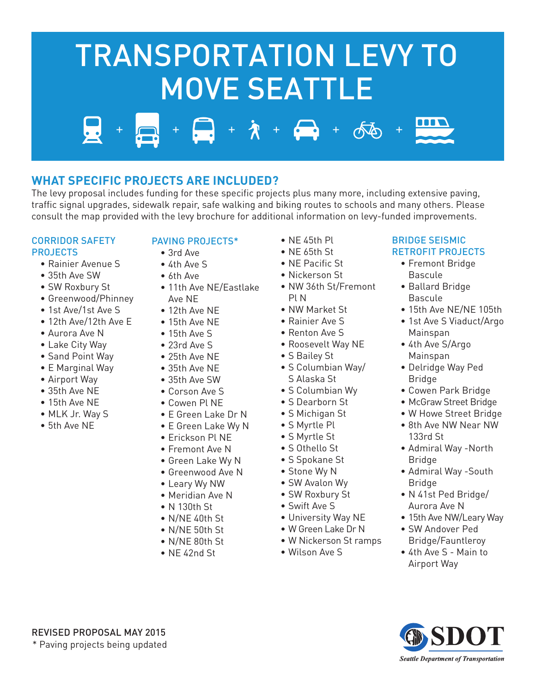# $+ 7 + 2 + 66$ TRANSPORTATION LEVY TO MOVE SEATTLE

## **WHAT SPECIFIC PROJECTS ARE INCLUDED?**

The levy proposal includes funding for these specific projects plus many more, including extensive paving, traffic signal upgrades, sidewalk repair, safe walking and biking routes to schools and many others. Please consult the map provided with the levy brochure for additional information on levy-funded improvements.

#### CORRIDOR SAFETY PROJECTS

- Rainier Avenue S
- 35th Ave SW
- SW Roxbury St
- Greenwood/Phinney
- 1st Ave/1st Ave S
- 12th Ave/12th Ave E
- Aurora Ave N
- Lake City Way
- Sand Point Way
- E Marginal Way
- Airport Way
- 35th Ave NE
- 15th Ave NE
- MLK Jr. Way S
- 5th Ave NE

#### PAVING PROJECTS\*

- 3rd Ave
- 4th Ave S
- 6th Ave
- 11th Ave NE/Eastlake Ave NE
- 12th Ave NE
- 15th Ave NE
- 15th Ave S
- 23rd Ave S
- 25th Ave NE
- 35th Ave NE
- 35th Ave SW
- 
- Corson Ave S
- Cowen Pl NE
- E Green Lake Dr N
- E Green Lake Wy N
- Erickson Pl NE
- Fremont Ave N
- Green Lake Wy N
- Greenwood Ave N
- Leary Wy NW
- Meridian Ave N
- N 130th St
- N/NE 40th St
- N/NE 50th St
- N/NE 80th St
- NE 42nd St
- NE 45th Pl
- NE 65th St
- NE Pacific St
- Nickerson St
- NW 36th St/Fremont Pl N
- NW Market St
- Rainier Ave S
- Renton Ave S
- Roosevelt Way NE
- S Bailey St
- S Columbian Way/ S Alaska St
- S Columbian Wy
- S Dearborn St
- S Michigan St
- S Myrtle Pl
- S Myrtle St
- S Othello St
- S Spokane St
- Stone Wy N
- SW Avalon Wy
- SW Roxbury St
- Swift Ave S
- University Way NE
- W Green Lake Dr N
- W Nickerson St ramps
- Wilson Ave S

#### BRIDGE SEISMIC RETROFIT PROJECTS

- Fremont Bridge Bascule
- Ballard Bridge Bascule
- 15th Ave NE/NE 105th
- 1st Ave S Viaduct/Argo Mainspan
- 4th Ave S/Argo Mainspan
- Delridge Way Ped Bridge
- Cowen Park Bridge
- McGraw Street Bridge
- W Howe Street Bridge
- 8th Ave NW Near NW 133rd St
- Admiral Way -North Bridge
- Admiral Way -South Bridge
- N 41st Ped Bridge/ Aurora Ave N
- 15th Ave NW/Leary Way
- SW Andover Ped Bridge/Fauntleroy
- 4th Ave S Main to Airport Way



REVISED PROPOSAL MAY 2015 \* Paving projects being updated